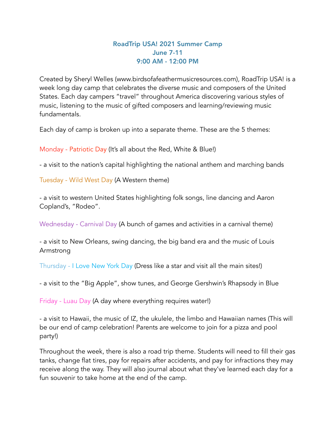## RoadTrip USA! 2021 Summer Camp June 7-11 9:00 AM - 12:00 PM

Created by Sheryl Welles (www.birdsofafeathermusicresources.com), RoadTrip USA! is a week long day camp that celebrates the diverse music and composers of the United States. Each day campers "travel" throughout America discovering various styles of music, listening to the music of gifted composers and learning/reviewing music fundamentals.

Each day of camp is broken up into a separate theme. These are the 5 themes:

Monday - Patriotic Day (It's all about the Red, White & Blue!)

- a visit to the nation's capital highlighting the national anthem and marching bands

Tuesday - Wild West Day (A Western theme)

- a visit to western United States highlighting folk songs, line dancing and Aaron Copland's, "Rodeo".

Wednesday - Carnival Day (A bunch of games and activities in a carnival theme)

- a visit to New Orleans, swing dancing, the big band era and the music of Louis Armstrong

Thursday - I Love New York Day (Dress like a star and visit all the main sites!)

- a visit to the "Big Apple", show tunes, and George Gershwin's Rhapsody in Blue

Friday - Luau Day (A day where everything requires water!)

- a visit to Hawaii, the music of IZ, the ukulele, the limbo and Hawaiian names (This will be our end of camp celebration! Parents are welcome to join for a pizza and pool party!)

Throughout the week, there is also a road trip theme. Students will need to fill their gas tanks, change flat tires, pay for repairs after accidents, and pay for infractions they may receive along the way. They will also journal about what they've learned each day for a fun souvenir to take home at the end of the camp.